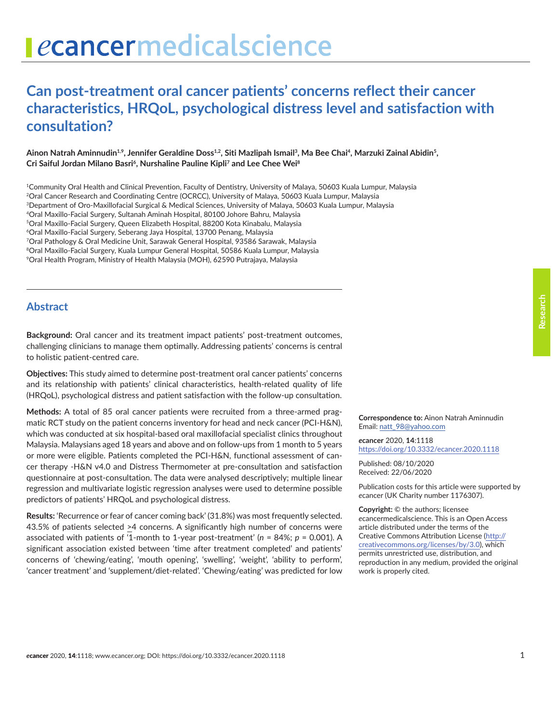# **Can post-treatment oral cancer patients' concerns reflect their cancer characteristics, HRQoL, psychological distress level and satisfaction with consultation?**

Ainon Natrah Aminnudin<sup>1,9</sup>, Jennifer Geraldine Doss<sup>1,2</sup>, Siti Mazlipah Ismail<sup>3</sup>, Ma Bee Chai<sup>4</sup>, Marzuki Zainal Abidin<sup>5</sup>, **Cri Saiful Jordan Milano Basri6, Nurshaline Pauline Kipli7 and Lee Chee Wei8**

1Community Oral Health and Clinical Prevention, Faculty of Dentistry, University of Malaya, 50603 Kuala Lumpur, Malaysia <sup>2</sup>Oral Cancer Research and Coordinating Centre (OCRCC), University of Malaya, 50603 Kuala Lumpur, Malaysia 3Department of Oro-Maxillofacial Surgical & Medical Sciences, University of Malaya, 50603 Kuala Lumpur, Malaysia 4Oral Maxillo-Facial Surgery, Sultanah Aminah Hospital, 80100 Johore Bahru, Malaysia 5Oral Maxillo-Facial Surgery, Queen Elizabeth Hospital, 88200 Kota Kinabalu, Malaysia 6Oral Maxillo-Facial Surgery, Seberang Jaya Hospital, 13700 Penang, Malaysia 7Oral Pathology & Oral Medicine Unit, Sarawak General Hospital, 93586 Sarawak, Malaysia 8Oral Maxillo-Facial Surgery, Kuala Lumpur General Hospital, 50586 Kuala Lumpur, Malaysia 9Oral Health Program, Ministry of Health Malaysia (MOH), 62590 Putrajaya, Malaysia

#### **Abstract**

**Background:** Oral cancer and its treatment impact patients' post-treatment outcomes, challenging clinicians to manage them optimally. Addressing patients' concerns is central to holistic patient-centred care.

**Objectives:** This study aimed to determine post-treatment oral cancer patients' concerns and its relationship with patients' clinical characteristics, health-related quality of life (HRQoL), psychological distress and patient satisfaction with the follow-up consultation.

**Methods:** A total of 85 oral cancer patients were recruited from a three-armed pragmatic RCT study on the patient concerns inventory for head and neck cancer (PCI-H&N), which was conducted at six hospital-based oral maxillofacial specialist clinics throughout Malaysia. Malaysians aged 18 years and above and on follow-ups from 1 month to 5 years or more were eligible. Patients completed the PCI-H&N, functional assessment of cancer therapy -H&N v4.0 and Distress Thermometer at pre-consultation and satisfaction questionnaire at post-consultation. The data were analysed descriptively; multiple linear regression and multivariate logistic regression analyses were used to determine possible predictors of patients' HRQoL and psychological distress.

**Results:** 'Recurrence or fear of cancer coming back' (31.8%) was most frequently selected. 43.5% of patients selected >4 concerns. A significantly high number of concerns were associated with patients of '1-month to 1-year post-treatment' (*n* = 84%; *p* = 0.001). A significant association existed between 'time after treatment completed' and patients' concerns of 'chewing/eating', 'mouth opening', 'swelling', 'weight', 'ability to perform', 'cancer treatment' and 'supplement/diet-related'. 'Chewing/eating' was predicted for low

**Correspondence to:** Ainon Natrah Aminnudin Email: [natt\\_98@yahoo.com](mailto:natt_98@yahoo.com)

*e***cancer** 2020, **14**:1118 [https://doi.org/10.3332/ecancer.2020.](https://doi.org/10.3332/ecancer.2020.1118)1118

Published: 08/10/2020 Received: 22/06/2020

Publication costs for this article were supported by *e*cancer (UK Charity number 1176307).

**Copyright:** © the authors; licensee *e*cancermedicalscience. This is an Open Access article distributed under the terms of the Creative Commons Attribution License [\(http://](http://creativecommons.org/licenses/by/3.0) [creativecommons.org/licenses/by/3.0\)](http://creativecommons.org/licenses/by/3.0), which permits unrestricted use, distribution, and reproduction in any medium, provided the original work is properly cited.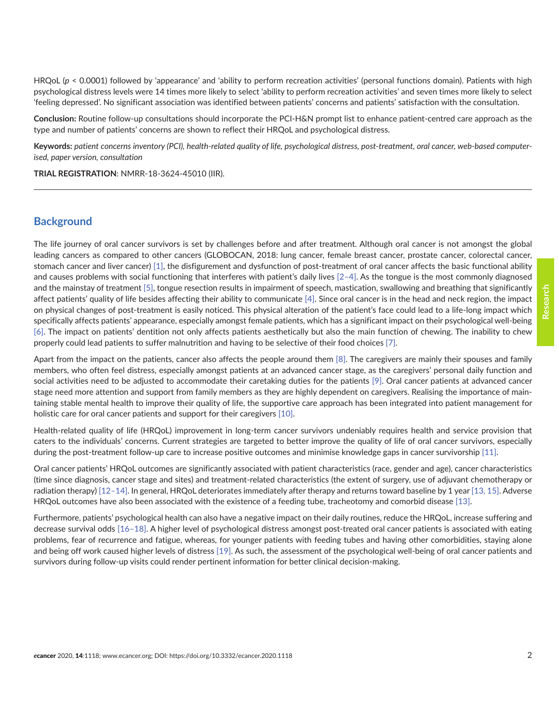**Research**

HRQoL (*p* < 0.0001) followed by 'appearance' and 'ability to perform recreation activities' (personal functions domain). Patients with high psychological distress levels were 14 times more likely to select 'ability to perform recreation activities' and seven times more likely to select 'feeling depressed'. No significant association was identified between patients' concerns and patients' satisfaction with the consultation.

**Conclusion:** Routine follow-up consultations should incorporate the PCI-H&N prompt list to enhance patient-centred care approach as the type and number of patients' concerns are shown to reflect their HRQoL and psychological distress.

**Keywords:** *patient concerns inventory (PCI), health-related quality of life, psychological distress, post-treatment, oral cancer, web-based computerised, paper version, consultation*

**TRIAL REGISTRATION**: NMRR-18-3624-45010 (IIR).

#### **Background**

The life journey of oral cancer survivors is set by challenges before and after treatment. Although oral cancer is not amongst the global leading cancers as compared to other cancers (GLOBOCAN, 2018: lung cancer, female breast cancer, prostate cancer, colorectal cancer, stomach cancer and liver cancer) [\[1\],](#page-13-0) the disfigurement and dysfunction of post-treatment of oral cancer affects the basic functional ability and causes problems with social functioning that interferes with patient's daily lives [\[2–4\]](#page-13-0). As the tongue is the most commonly diagnosed and the mainstay of treatment [\[5\],](#page-13-0) tongue resection results in impairment of speech, mastication, swallowing and breathing that significantly affect patients' quality of life besides affecting their ability to communicate [\[4\].](#page-13-0) Since oral cancer is in the head and neck region, the impact on physical changes of post-treatment is easily noticed. This physical alteration of the patient's face could lead to a life-long impact which specifically affects patients' appearance, especially amongst female patients, which has a significant impact on their psychological well-being [\[6\].](#page-13-0) The impact on patients' dentition not only affects patients aesthetically but also the main function of chewing. The inability to chew properly could lead patients to suffer malnutrition and having to be selective of their food choices [\[7\]](#page-13-0).

Apart from the impact on the patients, cancer also affects the people around them  $[8]$ . The caregivers are mainly their spouses and family members, who often feel distress, especially amongst patients at an advanced cancer stage, as the caregivers' personal daily function and social activities need to be adjusted to accommodate their caretaking duties for the patients [\[9\]](#page-13-0). Oral cancer patients at advanced cancer stage need more attention and support from family members as they are highly dependent on caregivers. Realising the importance of maintaining stable mental health to improve their quality of life, the supportive care approach has been integrated into patient management for holistic care for oral cancer patients and support for their caregivers [\[10\].](#page-13-0)

Health-related quality of life (HRQoL) improvement in long-term cancer survivors undeniably requires health and service provision that caters to the individuals' concerns. Current strategies are targeted to better improve the quality of life of oral cancer survivors, especially during the post-treatment follow-up care to increase positive outcomes and minimise knowledge gaps in cancer survivorship [\[11\]](#page-14-0).

Oral cancer patients' HRQoL outcomes are significantly associated with patient characteristics (race, gender and age), cancer characteristics (time since diagnosis, cancer stage and sites) and treatment-related characteristics (the extent of surgery, use of adjuvant chemotherapy or radiation therapy) [\[12–14\].](#page-14-0) In general, HRQoL deteriorates immediately after therapy and returns toward baseline by 1 year [\[13, 15\].](#page-14-0) Adverse HRQoL outcomes have also been associated with the existence of a feeding tube, tracheotomy and comorbid disease [\[13\]](#page-14-0).

Furthermore, patients' psychological health can also have a negative impact on their daily routines, reduce the HRQoL, increase suffering and decrease survival odds [\[16–18\]](#page-14-0). A higher level of psychological distress amongst post-treated oral cancer patients is associated with eating problems, fear of recurrence and fatigue, whereas, for younger patients with feeding tubes and having other comorbidities, staying alone and being off work caused higher levels of distress [\[19\]](#page-14-0). As such, the assessment of the psychological well-being of oral cancer patients and survivors during follow-up visits could render pertinent information for better clinical decision-making.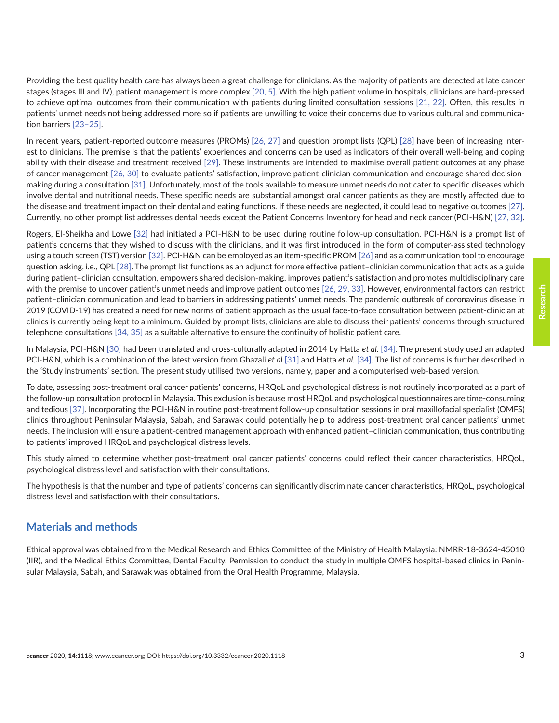Providing the best quality health care has always been a great challenge for clinicians. As the majority of patients are detected at late cancer stages (stages III and IV), patient management is more complex [\[20,](#page-14-0) [5\].](#page-13-0) With the high patient volume in hospitals, clinicians are hard-pressed to achieve optimal outcomes from their communication with patients during limited consultation sessions [\[21,](#page-14-0) [22\]](#page-14-0). Often, this results in patients' unmet needs not being addressed more so if patients are unwilling to voice their concerns due to various cultural and communication barriers [\[23–25\].](#page-14-0)

In recent years, patient-reported outcome measures (PROMs) [\[26, 27\]](#page-14-0) and question prompt lists (QPL) [\[28\]](#page-14-0) have been of increasing interest to clinicians. The premise is that the patients' experiences and concerns can be used as indicators of their overall well-being and coping ability with their disease and treatment received [\[29\].](#page-14-0) These instruments are intended to maximise overall patient outcomes at any phase of cancer management [\[26,](#page-14-0) [30\]](#page-15-0) to evaluate patients' satisfaction, improve patient-clinician communication and encourage shared decisionmaking during a consultation [\[31\].](#page-15-0) Unfortunately, most of the tools available to measure unmet needs do not cater to specific diseases which involve dental and nutritional needs. These specific needs are substantial amongst oral cancer patients as they are mostly affected due to the disease and treatment impact on their dental and eating functions. If these needs are neglected, it could lead to negative outcomes [\[27\].](#page-14-0) Currently, no other prompt list addresses dental needs except the Patient Concerns Inventory for head and neck cancer (PCI-H&N) [\[27,](#page-14-0) [32\].](#page-15-0)

Rogers, El-Sheikha and Lowe [\[32\]](#page-15-0) had initiated a PCI-H&N to be used during routine follow-up consultation. PCI-H&N is a prompt list of patient's concerns that they wished to discuss with the clinicians, and it was first introduced in the form of computer-assisted technology using a touch screen (TST) version [\[32\].](#page-15-0) PCI-H&N can be employed as an item-specific PROM [\[26\]](#page-14-0) and as a communication tool to encourage question asking, i.e., QPL [\[28\].](#page-14-0) The prompt list functions as an adjunct for more effective patient–clinician communication that acts as a guide during patient–clinician consultation, empowers shared decision-making, improves patient's satisfaction and promotes multidisciplinary care with the premise to uncover patient's unmet needs and improve patient outcomes [\[26, 29,](#page-14-0) [33\]](#page-15-0). However, environmental factors can restrict patient–clinician communication and lead to barriers in addressing patients' unmet needs. The pandemic outbreak of coronavirus disease in 2019 (COVID-19) has created a need for new norms of patient approach as the usual face-to-face consultation between patient-clinician at clinics is currently being kept to a minimum. Guided by prompt lists, clinicians are able to discuss their patients' concerns through structured telephone consultations [\[34, 35\]](#page-15-0) as a suitable alternative to ensure the continuity of holistic patient care.

In Malaysia, PCI-H&N [\[30\]](#page-15-0) had been translated and cross-culturally adapted in 2014 by Hatta *et al.* [\[34\]](#page-15-0). The present study used an adapted PCI-H&N, which is a combination of the latest version from Ghazali *et al* [\[31\]](#page-15-0) and Hatta *et al.* [\[34\].](#page-15-0) The list of concerns is further described in the 'Study instruments' section. The present study utilised two versions, namely, paper and a computerised web-based version.

To date, assessing post-treatment oral cancer patients' concerns, HRQoL and psychological distress is not routinely incorporated as a part of the follow-up consultation protocol in Malaysia. This exclusion is because most HRQoL and psychological questionnaires are time-consuming and tedious [\[37\]](#page-15-0). Incorporating the PCI-H&N in routine post-treatment follow-up consultation sessions in oral maxillofacial specialist (OMFS) clinics throughout Peninsular Malaysia, Sabah, and Sarawak could potentially help to address post-treatment oral cancer patients' unmet needs. The inclusion will ensure a patient-centred management approach with enhanced patient–clinician communication, thus contributing to patients' improved HRQoL and psychological distress levels.

This study aimed to determine whether post-treatment oral cancer patients' concerns could reflect their cancer characteristics, HRQoL, psychological distress level and satisfaction with their consultations.

The hypothesis is that the number and type of patients' concerns can significantly discriminate cancer characteristics, HRQoL, psychological distress level and satisfaction with their consultations.

## **Materials and methods**

Ethical approval was obtained from the Medical Research and Ethics Committee of the Ministry of Health Malaysia: NMRR-18-3624-45010 (IIR), and the Medical Ethics Committee, Dental Faculty. Permission to conduct the study in multiple OMFS hospital-based clinics in Peninsular Malaysia, Sabah, and Sarawak was obtained from the Oral Health Programme, Malaysia.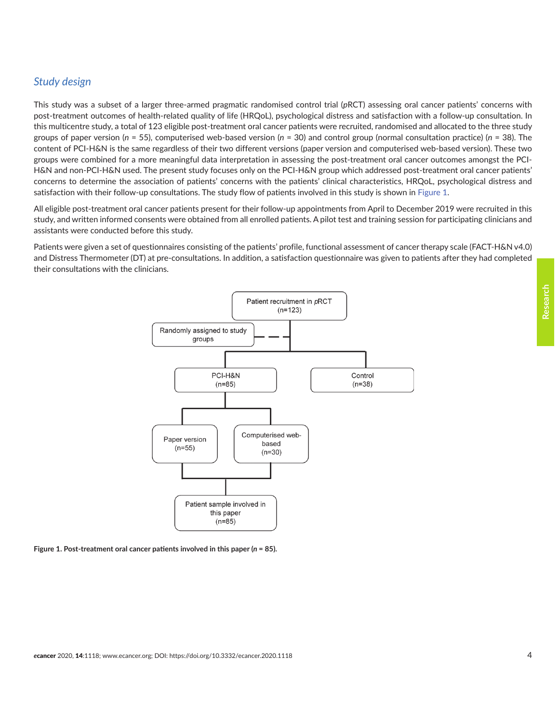## *Study design*

This study was a subset of a larger three-armed pragmatic randomised control trial (*p*RCT) assessing oral cancer patients' concerns with post-treatment outcomes of health-related quality of life (HRQoL), psychological distress and satisfaction with a follow-up consultation. In this multicentre study, a total of 123 eligible post-treatment oral cancer patients were recruited, randomised and allocated to the three study groups of paper version (*n* = 55), computerised web-based version (*n* = 30) and control group (normal consultation practice) (*n* = 38). The content of PCI-H&N is the same regardless of their two different versions (paper version and computerised web-based version). These two groups were combined for a more meaningful data interpretation in assessing the post-treatment oral cancer outcomes amongst the PCI-H&N and non-PCI-H&N used. The present study focuses only on the PCI-H&N group which addressed post-treatment oral cancer patients' concerns to determine the association of patients' concerns with the patients' clinical characteristics, HRQoL, psychological distress and satisfaction with their follow-up consultations. The study flow of patients involved in this study is shown in Figure 1.

All eligible post-treatment oral cancer patients present for their follow-up appointments from April to December 2019 were recruited in this study, and written informed consents were obtained from all enrolled patients. A pilot test and training session for participating clinicians and assistants were conducted before this study.

Patients were given a set of questionnaires consisting of the patients' profile, functional assessment of cancer therapy scale (FACT-H&N v4.0) and Distress Thermometer (DT) at pre-consultations. In addition, a satisfaction questionnaire was given to patients after they had completed their consultations with the clinicians.



**Figure 1. Post-treatment oral cancer patients involved in this paper (***n* **= 85).**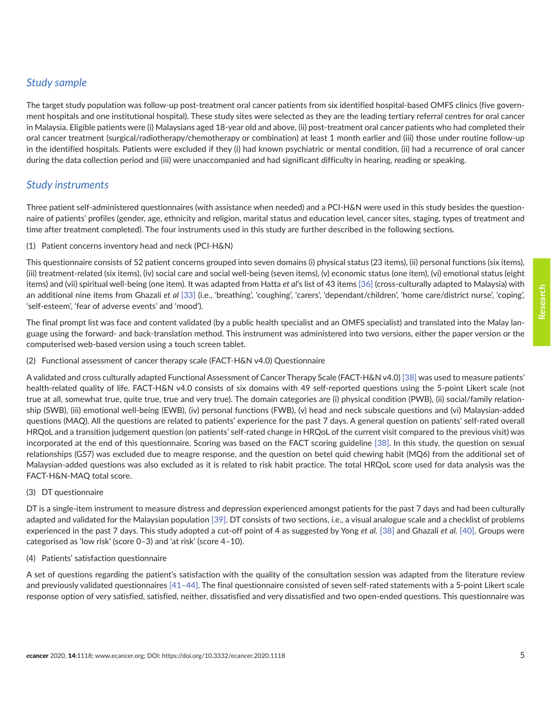# *Study sample*

The target study population was follow-up post-treatment oral cancer patients from six identified hospital-based OMFS clinics (five government hospitals and one institutional hospital). These study sites were selected as they are the leading tertiary referral centres for oral cancer in Malaysia. Eligible patients were (i) Malaysians aged 18-year old and above, (ii) post-treatment oral cancer patients who had completed their oral cancer treatment (surgical/radiotherapy/chemotherapy or combination) at least 1 month earlier and (iii) those under routine follow-up in the identified hospitals. Patients were excluded if they (i) had known psychiatric or mental condition, (ii) had a recurrence of oral cancer during the data collection period and (iii) were unaccompanied and had significant difficulty in hearing, reading or speaking.

## *Study instruments*

Three patient self-administered questionnaires (with assistance when needed) and a PCI-H&N were used in this study besides the questionnaire of patients' profiles (gender, age, ethnicity and religion, marital status and education level, cancer sites, staging, types of treatment and time after treatment completed). The four instruments used in this study are further described in the following sections.

#### (1) Patient concerns inventory head and neck (PCI-H&N)

This questionnaire consists of 52 patient concerns grouped into seven domains (i) physical status (23 items), (ii) personal functions (six items), (iii) treatment-related (six items), (iv) social care and social well-being (seven items), (v) economic status (one item), (vi) emotional status (eight items) and (vii) spiritual well-being (one item). It was adapted from Hatta *et al*'s list of 43 items [\[36\]](#page-15-0) (cross-culturally adapted to Malaysia) with an additional nine items from Ghazali *et al* [\[33\]](#page-15-0) (i.e., 'breathing', 'coughing', 'carers', 'dependant/children', 'home care/district nurse', 'coping', 'self-esteem', 'fear of adverse events' and 'mood').

The final prompt list was face and content validated (by a public health specialist and an OMFS specialist) and translated into the Malay language using the forward- and back-translation method. This instrument was administered into two versions, either the paper version or the computerised web-based version using a touch screen tablet.

(2) Functional assessment of cancer therapy scale (FACT-H&N v4.0) Questionnaire

A validated and cross culturally adapted Functional Assessment of Cancer Therapy Scale (FACT-H&N v4.0) [\[38\]](#page-15-0) was used to measure patients' health-related quality of life. FACT-H&N v4.0 consists of six domains with 49 self-reported questions using the 5-point Likert scale (not true at all, somewhat true, quite true, true and very true). The domain categories are (i) physical condition (PWB), (ii) social/family relationship (SWB), (iii) emotional well-being (EWB), (iv) personal functions (FWB), (v) head and neck subscale questions and (vi) Malaysian-added questions (MAQ). All the questions are related to patients' experience for the past 7 days. A general question on patients' self-rated overall HRQoL and a transition judgement question (on patients' self-rated change in HRQoL of the current visit compared to the previous visit) was incorporated at the end of this questionnaire. Scoring was based on the FACT scoring guideline [\[38\]](#page-15-0). In this study, the question on sexual relationships (GS7) was excluded due to meagre response, and the question on betel quid chewing habit (MQ6) from the additional set of Malaysian-added questions was also excluded as it is related to risk habit practice. The total HRQoL score used for data analysis was the FACT-H&N-MAQ total score.

#### (3) DT questionnaire

DT is a single-item instrument to measure distress and depression experienced amongst patients for the past 7 days and had been culturally adapted and validated for the Malaysian population [\[39\].](#page-15-0) DT consists of two sections, i.e., a visual analogue scale and a checklist of problems experienced in the past 7 days. This study adopted a cut-off point of 4 as suggested by Yong *et al.* [\[38\]](#page-15-0) and Ghazali *et al.* [\[40\].](#page-15-0) Groups were categorised as 'low risk' (score 0–3) and 'at risk' (score 4–10).

#### (4) Patients' satisfaction questionnaire

A set of questions regarding the patient's satisfaction with the quality of the consultation session was adapted from the literature review and previously validated questionnaires [\[41–44\]](#page-15-0). The final questionnaire consisted of seven self-rated statements with a 5-point Likert scale response option of very satisfied, satisfied, neither, dissatisfied and very dissatisfied and two open-ended questions. This questionnaire was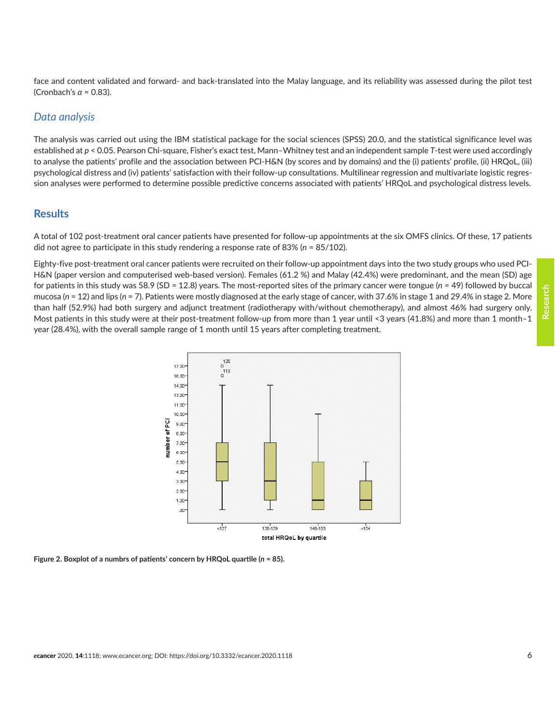face and content validated and forward- and back-translated into the Malay language, and its reliability was assessed during the pilot test (Cronbach's *α* = 0.83).

#### *Data analysis*

The analysis was carried out using the IBM statistical package for the social sciences (SPSS) 20.0, and the statistical significance level was established at *p* < 0.05. Pearson Chi-square, Fisher's exact test, Mann–Whitney test and an independent sample *T*-test were used accordingly to analyse the patients' profile and the association between PCI-H&N (by scores and by domains) and the (i) patients' profile, (ii) HRQoL, (iii) psychological distress and (iv) patients' satisfaction with their follow-up consultations. Multilinear regression and multivariate logistic regression analyses were performed to determine possible predictive concerns associated with patients' HRQoL and psychological distress levels.

#### **Results**

A total of 102 post-treatment oral cancer patients have presented for follow-up appointments at the six OMFS clinics. Of these, 17 patients did not agree to participate in this study rendering a response rate of 83% (*n* = 85/102).

Eighty-five post-treatment oral cancer patients were recruited on their follow-up appointment days into the two study groups who used PCI-H&N (paper version and computerised web-based version). Females (61.2 %) and Malay (42.4%) were predominant, and the mean (SD) age for patients in this study was 58.9 (SD = 12.8) years. The most-reported sites of the primary cancer were tongue (*n* = 49) followed by buccal mucosa (n = 12) and lips (n = 7). Patients were mostly diagnosed at the early stage of cancer, with 37.6% in stage 1 and 29.4% in stage 2. More than half (52.9%) had both surgery and adjunct treatment (radiotherapy with/without chemotherapy), and almost 46% had surgery only. Most patients in this study were at their post-treatment follow-up from more than 1 year until <3 years (41.8%) and more than 1 month-1 year (28.4%), with the overall sample range of 1 month until 15 years after completing treatment.



**Figure 2. Boxplot of a numbrs of patients' concern by HRQoL quartile (***n* **= 85).**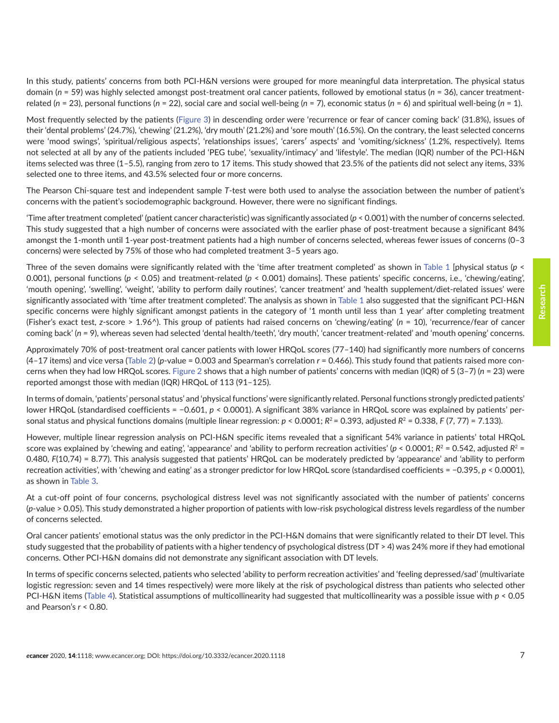In this study, patients' concerns from both PCI-H&N versions were grouped for more meaningful data interpretation. The physical status domain (*n* = 59) was highly selected amongst post-treatment oral cancer patients, followed by emotional status (*n* = 36), cancer treatmentrelated (*n* = 23), personal functions (*n* = 22), social care and social well-being (*n* = 7), economic status (*n* = 6) and spiritual well-being (*n* = 1).

Most frequently selected by the patients (Figure 3) in descending order were 'recurrence or fear of cancer coming back' (31.8%), issues of their 'dental problems' (24.7%), 'chewing' (21.2%), 'dry mouth' (21.2%) and 'sore mouth' (16.5%). On the contrary, the least selected concerns were 'mood swings', 'spiritual/religious aspects', 'relationships issues', 'carers′ aspects' and 'vomiting/sickness' (1.2%, respectively). Items not selected at all by any of the patients included 'PEG tube', 'sexuality/intimacy' and 'lifestyle'. The median (IQR) number of the PCI-H&N items selected was three (1–5.5), ranging from zero to 17 items. This study showed that 23.5% of the patients did not select any items, 33% selected one to three items, and 43.5% selected four or more concerns.

The Pearson Chi-square test and independent sample *T*-test were both used to analyse the association between the number of patient's concerns with the patient's sociodemographic background. However, there were no significant findings.

'Time after treatment completed' (patient cancer characteristic) was significantly associated (*p* < 0.001) with the number of concerns selected. This study suggested that a high number of concerns were associated with the earlier phase of post-treatment because a significant 84% amongst the 1-month until 1-year post-treatment patients had a high number of concerns selected, whereas fewer issues of concerns (0–3 concerns) were selected by 75% of those who had completed treatment 3–5 years ago.

Three of the seven domains were significantly related with the 'time after treatment completed' as shown in Table 1 [physical status (*p* < 0.001), personal functions (*p* < 0.05) and treatment-related (*p* < 0.001) domains]. These patients' specific concerns, i.e., 'chewing/eating', 'mouth opening', 'swelling', 'weight', 'ability to perform daily routines', 'cancer treatment' and 'health supplement/diet-related issues' were significantly associated with 'time after treatment completed'. The analysis as shown in Table 1 also suggested that the significant PCI-H&N specific concerns were highly significant amongst patients in the category of '1 month until less than 1 year' after completing treatment (Fisher's exact test, *z*-score > 1.96^). This group of patients had raised concerns on 'chewing/eating' (*n* = 10), 'recurrence/fear of cancer coming back' (*n* = 9), whereas seven had selected 'dental health/teeth', 'dry mouth', 'cancer treatment-related' and 'mouth opening' concerns.

Approximately 70% of post-treatment oral cancer patients with lower HRQoL scores (77–140) had significantly more numbers of concerns (4–17 items) and vice versa [\(Table 2](#page-8-0)) (*p*-value = 0.003 and Spearman's correlation *r* = 0.466). This study found that patients raised more concerns when they had low HRQoL scores. Figure 2 shows that a high number of patients' concerns with median (IQR) of 5 (3–7) (*n* = 23) were reported amongst those with median (IQR) HRQoL of 113 (91–125).

In terms of domain, 'patients' personal status' and 'physical functions' were significantly related. Personal functions strongly predicted patients' lower HRQoL (standardised coefficients = −0.601, *p* < 0.0001). A significant 38% variance in HRQoL score was explained by patients' personal status and physical functions domains (multiple linear regression:  $p < 0.0001$ ;  $R<sup>2</sup> = 0.393$ , adjusted  $R<sup>2</sup> = 0.338$ ,  $F(7, 77) = 7.133$ ).

However, multiple linear regression analysis on PCI-H&N specific items revealed that a significant 54% variance in patients' total HRQoL score was explained by 'chewing and eating', 'appearance' and 'ability to perform recreation activities' ( $p < 0.0001$ ;  $R^2 = 0.542$ , adjusted  $R^2 =$ 0.480, *F*(10,74) = 8.77). This analysis suggested that patients' HRQoL can be moderately predicted by 'appearance' and 'ability to perform recreation activities', with 'chewing and eating' as a stronger predictor for low HRQoL score (standardised coefficients = −0.395, *p* < 0.0001), as shown in [Table 3](#page-8-0).

At a cut-off point of four concerns, psychological distress level was not significantly associated with the number of patients' concerns (*p*-value > 0.05). This study demonstrated a higher proportion of patients with low-risk psychological distress levels regardless of the number of concerns selected.

Oral cancer patients' emotional status was the only predictor in the PCI-H&N domains that were significantly related to their DT level. This study suggested that the probability of patients with a higher tendency of psychological distress (DT > 4) was 24% more if they had emotional concerns. Other PCI-H&N domains did not demonstrate any significant association with DT levels.

In terms of specific concerns selected, patients who selected 'ability to perform recreation activities' and 'feeling depressed/sad' (multivariate logistic regression: seven and 14 times respectively) were more likely at the risk of psychological distress than patients who selected other PCI-H&N items [\(Table 4](#page-9-0)). Statistical assumptions of multicollinearity had suggested that multicollinearity was a possible issue with *p* < 0.05 and Pearson's *r* < 0.80.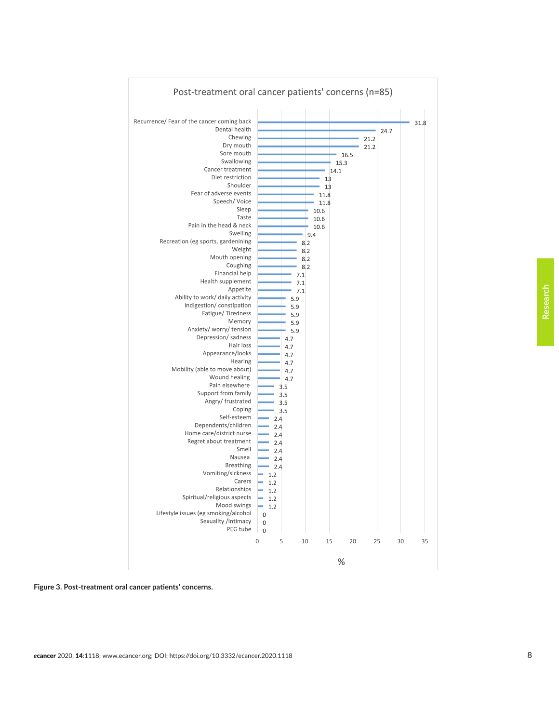

**Figure 3. Post-treatment oral cancer patients' concerns.**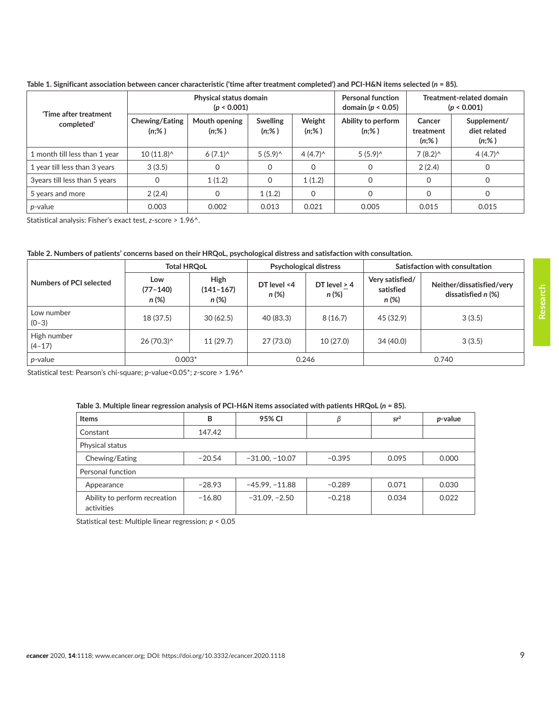<span id="page-8-0"></span>**Table 1. Significant association between cancer characteristic ('time after treatment completed') and PCI-H&N items selected (***n* **= 85).**

| 'Time after treatment<br>completed' | Physical status domain<br>(p < 0.001) |                           |                             |                    | <b>Personal function</b><br>domain ( $p < 0.05$ ) | Treatment-related domain<br>(p < 0.001) |                                         |
|-------------------------------------|---------------------------------------|---------------------------|-----------------------------|--------------------|---------------------------------------------------|-----------------------------------------|-----------------------------------------|
|                                     | <b>Chewing/Eating</b><br>$(n;\%)$     | Mouth opening<br>$(n;\%)$ | <b>Swelling</b><br>$(n;\%)$ | Weight<br>$(n;\%)$ | Ability to perform<br>$(n;\%)$                    | Cancer<br>treatment<br>$(n;\%)$         | Supplement/<br>diet related<br>$(n;\%)$ |
| 1 month till less than 1 year       | $10(11.8)^{^}$                        | $6(7.1)^{^}$              | 5(5.9)                      | $4(4.7)^{^}$       | $5(5.9)^{\wedge}$                                 | $7(8.2)^{^}$                            | $4(4.7)^{^}$                            |
| 1 year till less than 3 years       | 3(3.5)                                | 0                         | 0                           | 0                  | 0                                                 | 2(2.4)                                  | 0                                       |
| 3years till less than 5 years       | 0                                     | 1(1.2)                    | 0                           | 1(1.2)             | $\Omega$                                          | 0                                       | 0                                       |
| 5 years and more                    | 2(2.4)                                | 0                         | 1(1.2)                      | $\Omega$           | $\Omega$                                          | $\mathbf 0$                             | 0                                       |
| p-value                             | 0.003                                 | 0.002                     | 0.013                       | 0.021              | 0.005                                             | 0.015                                   | 0.015                                   |

Statistical analysis: Fisher's exact test, *z*-score > 1.96^.

| Table 2. Numbers of patients' concerns based on their HRQoL, psychological distress and satisfaction with consultation. |  |
|-------------------------------------------------------------------------------------------------------------------------|--|
|-------------------------------------------------------------------------------------------------------------------------|--|

|                           | <b>Total HROoL</b>           |                                |                      | <b>Psychological distress</b> | Satisfaction with consultation          |                                                   |
|---------------------------|------------------------------|--------------------------------|----------------------|-------------------------------|-----------------------------------------|---------------------------------------------------|
| Numbers of PCI selected   | Low<br>$(77 - 140)$<br>n (%) | High<br>$(141 - 167)$<br>n (%) | DT level <4<br>n (%) | DT level $> 4$<br>$n(\%)$     | Very satisfied/<br>satisfied<br>$n(\%)$ | Neither/dissatisfied/very<br>dissatisfied $n$ (%) |
| Low number<br>$(0-3)$     | 18 (37.5)                    | 30(62.5)                       | 40 (83.3)            | 8(16.7)                       | 45 (32.9)                               | 3(3.5)                                            |
| High number<br>$(4 - 17)$ | 26 (70.3)^                   | 11(29.7)                       | 27 (73.0)            | 10(27.0)                      | 34 (40.0)                               | 3(3.5)                                            |
| <i>p</i> -value           | $0.003*$                     |                                | 0.246                |                               | 0.740                                   |                                                   |

Statistical test: Pearson's chi-square; *p*-value<0.05\*; *z*-score > 1.96^

#### **Table 3. Multiple linear regression analysis of PCI-H&N items associated with patients HRQoL (***n* **= 85).**

| <b>Items</b>                                | B        | 95% CI           |          | sr <sup>2</sup> | p-value |  |  |
|---------------------------------------------|----------|------------------|----------|-----------------|---------|--|--|
| Constant                                    | 147.42   |                  |          |                 |         |  |  |
| Physical status                             |          |                  |          |                 |         |  |  |
| Chewing/Eating                              | $-20.54$ | $-31.00, -10.07$ | $-0.395$ | 0.095           | 0.000   |  |  |
| Personal function                           |          |                  |          |                 |         |  |  |
| Appearance                                  | $-28.93$ | $-45.99, -11.88$ | $-0.289$ | 0.071           | 0.030   |  |  |
| Ability to perform recreation<br>activities | $-16.80$ | $-31.09, -2.50$  | $-0.218$ | 0.034           | 0.022   |  |  |

Statistical test: Multiple linear regression; *p* < 0.05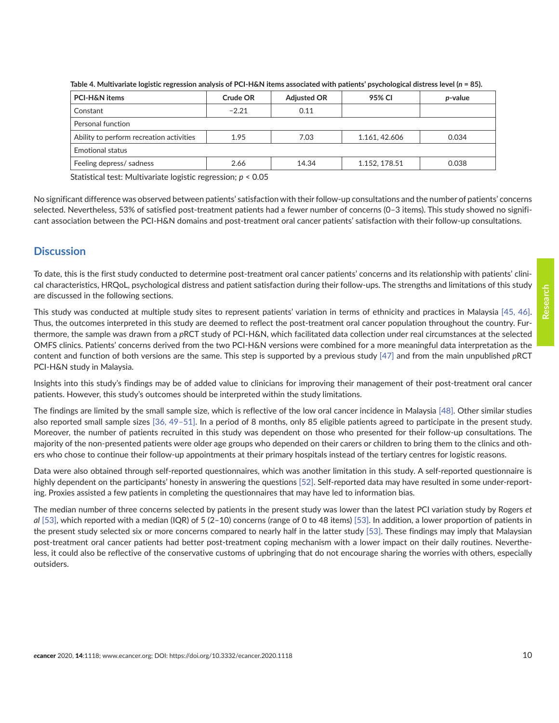| PCI-H&N items                            | Crude OR | <b>Adjusted OR</b> | 95% CI        | <i>p</i> -value |  |  |  |
|------------------------------------------|----------|--------------------|---------------|-----------------|--|--|--|
| Constant                                 | $-2.21$  | 0.11               |               |                 |  |  |  |
| Personal function                        |          |                    |               |                 |  |  |  |
| Ability to perform recreation activities | 1.95     | 7.03               | 1.161, 42.606 | 0.034           |  |  |  |
| Emotional status                         |          |                    |               |                 |  |  |  |
| Feeling depress/ sadness                 | 2.66     | 14.34              | 1.152, 178.51 | 0.038           |  |  |  |

<span id="page-9-0"></span>**Table 4. Multivariate logistic regression analysis of PCI-H&N items associated with patients' psychological distress level (***n* **= 85).**

Statistical test: Multivariate logistic regression; *p* < 0.05

No significant difference was observed between patients' satisfaction with their follow-up consultations and the number of patients' concerns selected. Nevertheless, 53% of satisfied post-treatment patients had a fewer number of concerns (0–3 items). This study showed no significant association between the PCI-H&N domains and post-treatment oral cancer patients' satisfaction with their follow-up consultations.

#### **Discussion**

To date, this is the first study conducted to determine post-treatment oral cancer patients' concerns and its relationship with patients' clinical characteristics, HRQoL, psychological distress and patient satisfaction during their follow-ups. The strengths and limitations of this study are discussed in the following sections.

This study was conducted at multiple study sites to represent patients' variation in terms of ethnicity and practices in Malaysia [\[45, 46\].](#page-15-0) Thus, the outcomes interpreted in this study are deemed to reflect the post-treatment oral cancer population throughout the country. Furthermore, the sample was drawn from a *p*RCT study of PCI-H&N, which facilitated data collection under real circumstances at the selected OMFS clinics. Patients' concerns derived from the two PCI-H&N versions were combined for a more meaningful data interpretation as the content and function of both versions are the same. This step is supported by a previous study [\[47\]](#page-15-0) and from the main unpublished *p*RCT PCI-H&N study in Malaysia.

Insights into this study's findings may be of added value to clinicians for improving their management of their post-treatment oral cancer patients. However, this study's outcomes should be interpreted within the study limitations.

The findings are limited by the small sample size, which is reflective of the low oral cancer incidence in Malaysia [\[48\].](#page-16-0) Other similar studies also reported small sample sizes [\[36,](#page-15-0) [49–51\]](#page-16-0). In a period of 8 months, only 85 eligible patients agreed to participate in the present study. Moreover, the number of patients recruited in this study was dependent on those who presented for their follow-up consultations. The majority of the non-presented patients were older age groups who depended on their carers or children to bring them to the clinics and others who chose to continue their follow-up appointments at their primary hospitals instead of the tertiary centres for logistic reasons.

Data were also obtained through self-reported questionnaires, which was another limitation in this study. A self-reported questionnaire is highly dependent on the participants' honesty in answering the questions [\[52\]](#page-16-0). Self-reported data may have resulted in some under-reporting. Proxies assisted a few patients in completing the questionnaires that may have led to information bias.

The median number of three concerns selected by patients in the present study was lower than the latest PCI variation study by Rogers *et al* [\[53\]](#page-16-0), which reported with a median (IQR) of 5 (2–10) concerns (range of 0 to 48 items) [\[53\]](#page-16-0). In addition, a lower proportion of patients in the present study selected six or more concerns compared to nearly half in the latter study [\[53\]](#page-16-0). These findings may imply that Malaysian post-treatment oral cancer patients had better post-treatment coping mechanism with a lower impact on their daily routines. Nevertheless, it could also be reflective of the conservative customs of upbringing that do not encourage sharing the worries with others, especially outsiders.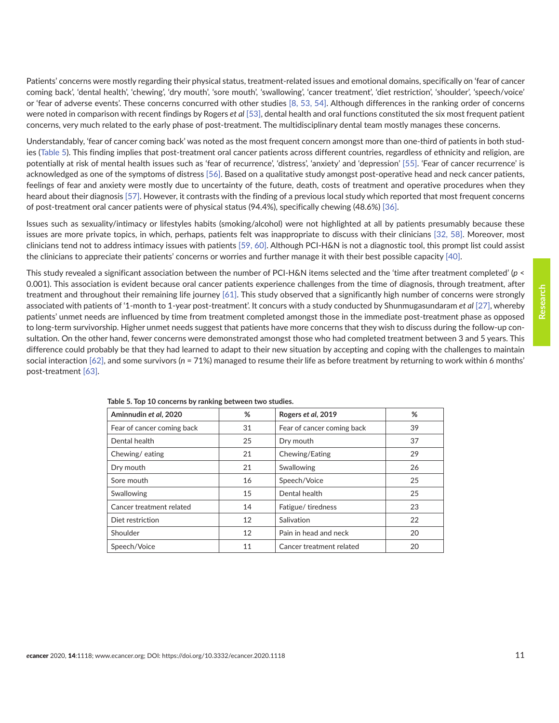Patients' concerns were mostly regarding their physical status, treatment-related issues and emotional domains, specifically on 'fear of cancer coming back', 'dental health', 'chewing', 'dry mouth', 'sore mouth', 'swallowing', 'cancer treatment', 'diet restriction', 'shoulder', 'speech/voice' or 'fear of adverse events'. These concerns concurred with other studies [\[8,](#page-13-0) [53, 54\].](#page-16-0) Although differences in the ranking order of concerns were noted in comparison with recent findings by Rogers *et al* [\[53\],](#page-16-0) dental health and oral functions constituted the six most frequent patient concerns, very much related to the early phase of post-treatment. The multidisciplinary dental team mostly manages these concerns.

Understandably, 'fear of cancer coming back' was noted as the most frequent concern amongst more than one-third of patients in both studies (Table 5). This finding implies that post-treatment oral cancer patients across different countries, regardless of ethnicity and religion, are potentially at risk of mental health issues such as 'fear of recurrence', 'distress', 'anxiety' and 'depression' [\[55\]](#page-16-0). 'Fear of cancer recurrence' is acknowledged as one of the symptoms of distress [\[56\].](#page-16-0) Based on a qualitative study amongst post-operative head and neck cancer patients, feelings of fear and anxiety were mostly due to uncertainty of the future, death, costs of treatment and operative procedures when they heard about their diagnosis [\[57\]](#page-16-0). However, it contrasts with the finding of a previous local study which reported that most frequent concerns of post-treatment oral cancer patients were of physical status (94.4%), specifically chewing (48.6%) [\[36\]](#page-15-0).

Issues such as sexuality/intimacy or lifestyles habits (smoking/alcohol) were not highlighted at all by patients presumably because these issues are more private topics, in which, perhaps, patients felt was inappropriate to discuss with their clinicians [\[32,](#page-15-0) [58\].](#page-16-0) Moreover, most clinicians tend not to address intimacy issues with patients [\[59, 60\]](#page-16-0). Although PCI-H&N is not a diagnostic tool, this prompt list could assist the clinicians to appreciate their patients' concerns or worries and further manage it with their best possible capacity [\[40\]](#page-15-0).

This study revealed a significant association between the number of PCI-H&N items selected and the 'time after treatment completed' (*p* < 0.001). This association is evident because oral cancer patients experience challenges from the time of diagnosis, through treatment, after treatment and throughout their remaining life journey [\[61\]](#page-16-0). This study observed that a significantly high number of concerns were strongly associated with patients of '1-month to 1-year post-treatment'. It concurs with a study conducted by Shunmugasundaram *et al* [\[27\],](#page-14-0) whereby patients' unmet needs are influenced by time from treatment completed amongst those in the immediate post-treatment phase as opposed to long-term survivorship. Higher unmet needs suggest that patients have more concerns that they wish to discuss during the follow-up consultation. On the other hand, fewer concerns were demonstrated amongst those who had completed treatment between 3 and 5 years. This difference could probably be that they had learned to adapt to their new situation by accepting and coping with the challenges to maintain social interaction [\[62\],](#page-16-0) and some survivors (*n* = 71%) managed to resume their life as before treatment by returning to work within 6 months' post-treatment [\[63\].](#page-16-0)

| Aminnudin et al, 2020      | %  | Rogers et al, 2019         | %  |
|----------------------------|----|----------------------------|----|
| Fear of cancer coming back | 31 | Fear of cancer coming back | 39 |
| Dental health              | 25 | Dry mouth                  | 37 |
| Chewing/eating             | 21 | Chewing/Eating             | 29 |
| Dry mouth                  | 21 | Swallowing                 | 26 |
| Sore mouth                 | 16 | Speech/Voice               | 25 |
| Swallowing                 | 15 | Dental health              | 25 |
| Cancer treatment related   | 14 | Fatigue/tiredness          | 23 |
| Diet restriction           | 12 | Salivation                 | 22 |
| Shoulder                   | 12 | Pain in head and neck      | 20 |
| Speech/Voice               | 11 | Cancer treatment related   | 20 |

**Table 5. Top 10 concerns by ranking between two studies.**

**Research**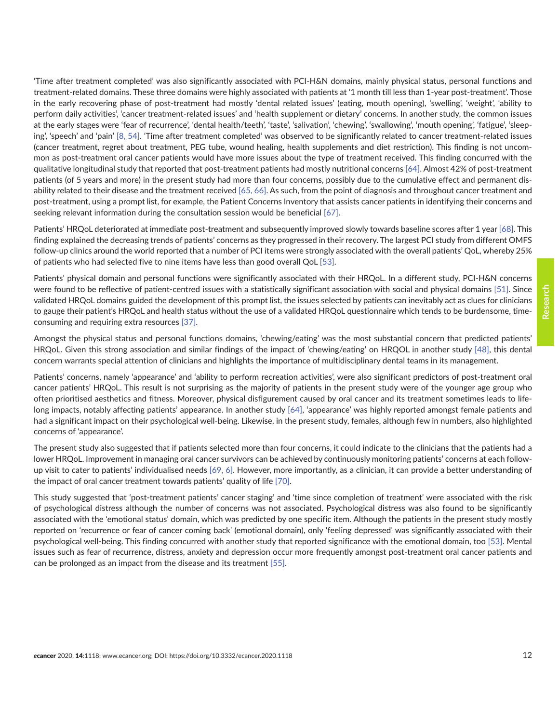'Time after treatment completed' was also significantly associated with PCI-H&N domains, mainly physical status, personal functions and treatment-related domains. These three domains were highly associated with patients at '1 month till less than 1-year post-treatment'. Those in the early recovering phase of post-treatment had mostly 'dental related issues' (eating, mouth opening), 'swelling', 'weight', 'ability to perform daily activities', 'cancer treatment-related issues' and 'health supplement or dietary' concerns. In another study, the common issues at the early stages were 'fear of recurrence', 'dental health/teeth', 'taste', 'salivation', 'chewing', 'swallowing', 'mouth opening', 'fatigue', 'sleeping', 'speech' and 'pain' [\[8,](#page-13-0) [54\]](#page-16-0). 'Time after treatment completed' was observed to be significantly related to cancer treatment-related issues (cancer treatment, regret about treatment, PEG tube, wound healing, health supplements and diet restriction). This finding is not uncommon as post-treatment oral cancer patients would have more issues about the type of treatment received. This finding concurred with the qualitative longitudinal study that reported that post-treatment patients had mostly nutritional concerns [\[64\]](#page-16-0). Almost 42% of post-treatment patients (of 5 years and more) in the present study had more than four concerns, possibly due to the cumulative effect and permanent dis-ability related to their disease and the treatment received [\[65, 66\].](#page-17-0) As such, from the point of diagnosis and throughout cancer treatment and post-treatment, using a prompt list, for example, the Patient Concerns Inventory that assists cancer patients in identifying their concerns and seeking relevant information during the consultation session would be beneficial [\[67\].](#page-17-0)

Patients' HRQoL deteriorated at immediate post-treatment and subsequently improved slowly towards baseline scores after 1 year [\[68\].](#page-17-0) This finding explained the decreasing trends of patients' concerns as they progressed in their recovery. The largest PCI study from different OMFS follow-up clinics around the world reported that a number of PCI items were strongly associated with the overall patients' QoL, whereby 25% of patients who had selected five to nine items have less than good overall QoL [\[53\]](#page-16-0).

Patients' physical domain and personal functions were significantly associated with their HRQoL. In a different study, PCI-H&N concerns were found to be reflective of patient-centred issues with a statistically significant association with social and physical domains [\[51\]](#page-16-0). Since validated HRQoL domains guided the development of this prompt list, the issues selected by patients can inevitably act as clues for clinicians to gauge their patient's HRQoL and health status without the use of a validated HRQoL questionnaire which tends to be burdensome, timeconsuming and requiring extra resources [\[37\].](#page-15-0)

Amongst the physical status and personal functions domains, 'chewing/eating' was the most substantial concern that predicted patients' HRQoL. Given this strong association and similar findings of the impact of 'chewing/eating' on HRQOL in another study [\[48\]](#page-16-0), this dental concern warrants special attention of clinicians and highlights the importance of multidisciplinary dental teams in its management.

Patients' concerns, namely 'appearance' and 'ability to perform recreation activities', were also significant predictors of post-treatment oral cancer patients' HRQoL. This result is not surprising as the majority of patients in the present study were of the younger age group who often prioritised aesthetics and fitness. Moreover, physical disfigurement caused by oral cancer and its treatment sometimes leads to lifelong impacts, notably affecting patients' appearance. In another study [\[64\]](#page-16-0), 'appearance' was highly reported amongst female patients and had a significant impact on their psychological well-being. Likewise, in the present study, females, although few in numbers, also highlighted concerns of 'appearance'.

The present study also suggested that if patients selected more than four concerns, it could indicate to the clinicians that the patients had a lower HRQoL. Improvement in managing oral cancer survivors can be achieved by continuously monitoring patients' concerns at each follow-up visit to cater to patients' individualised needs [\[69,](#page-17-0) [6\]](#page-13-0). However, more importantly, as a clinician, it can provide a better understanding of the impact of oral cancer treatment towards patients' quality of life [\[70\]](#page-17-0).

This study suggested that 'post-treatment patients' cancer staging' and 'time since completion of treatment' were associated with the risk of psychological distress although the number of concerns was not associated. Psychological distress was also found to be significantly associated with the 'emotional status' domain, which was predicted by one specific item. Although the patients in the present study mostly reported on 'recurrence or fear of cancer coming back' (emotional domain), only 'feeling depressed' was significantly associated with their psychological well-being. This finding concurred with another study that reported significance with the emotional domain, too [\[53\].](#page-16-0) Mental issues such as fear of recurrence, distress, anxiety and depression occur more frequently amongst post-treatment oral cancer patients and can be prolonged as an impact from the disease and its treatment [\[55\]](#page-16-0).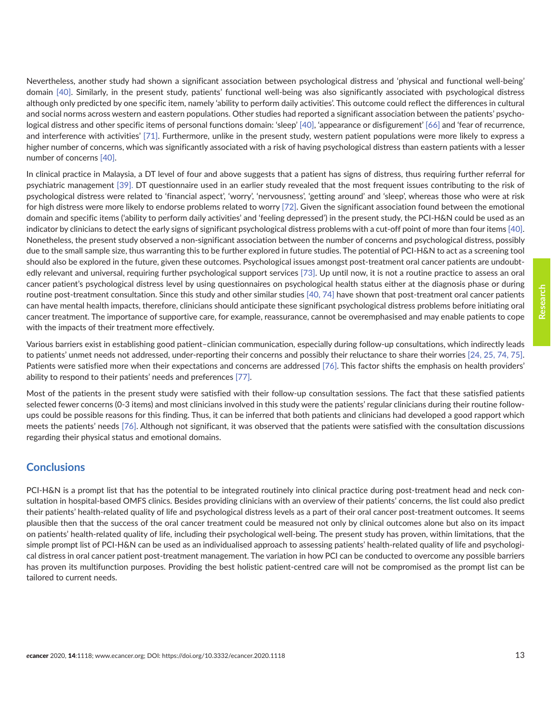Nevertheless, another study had shown a significant association between psychological distress and 'physical and functional well-being' domain [\[40\].](#page-15-0) Similarly, in the present study, patients' functional well-being was also significantly associated with psychological distress although only predicted by one specific item, namely 'ability to perform daily activities'. This outcome could reflect the differences in cultural and social norms across western and eastern populations. Other studies had reported a significant association between the patients' psychological distress and other specific items of personal functions domain: 'sleep' [\[40\]](#page-15-0), 'appearance or disfigurement' [\[66\]](#page-17-0) and 'fear of recurrence, and interference with activities' [\[71\]](#page-17-0). Furthermore, unlike in the present study, western patient populations were more likely to express a higher number of concerns, which was significantly associated with a risk of having psychological distress than eastern patients with a lesser number of concerns [\[40\].](#page-15-0)

In clinical practice in Malaysia, a DT level of four and above suggests that a patient has signs of distress, thus requiring further referral for psychiatric management [\[39\].](#page-15-0) DT questionnaire used in an earlier study revealed that the most frequent issues contributing to the risk of psychological distress were related to 'financial aspect', 'worry', 'nervousness', 'getting around' and 'sleep', whereas those who were at risk for high distress were more likely to endorse problems related to worry [\[72\].](#page-17-0) Given the significant association found between the emotional domain and specific items ('ability to perform daily activities' and 'feeling depressed') in the present study, the PCI-H&N could be used as an indicator by clinicians to detect the early signs of significant psychological distress problems with a cut-off point of more than four items [\[40\].](#page-15-0) Nonetheless, the present study observed a non-significant association between the number of concerns and psychological distress, possibly due to the small sample size, thus warranting this to be further explored in future studies. The potential of PCI-H&N to act as a screening tool should also be explored in the future, given these outcomes. Psychological issues amongst post-treatment oral cancer patients are undoubtedly relevant and universal, requiring further psychological support services [\[73\]](#page-17-0). Up until now, it is not a routine practice to assess an oral cancer patient's psychological distress level by using questionnaires on psychological health status either at the diagnosis phase or during routine post-treatment consultation. Since this study and other similar studies [\[40,](#page-15-0) [74\]](#page-17-0) have shown that post-treatment oral cancer patients can have mental health impacts, therefore, clinicians should anticipate these significant psychological distress problems before initiating oral cancer treatment. The importance of supportive care, for example, reassurance, cannot be overemphasised and may enable patients to cope with the impacts of their treatment more effectively.

Various barriers exist in establishing good patient–clinician communication, especially during follow-up consultations, which indirectly leads to patients' unmet needs not addressed, under-reporting their concerns and possibly their reluctance to share their worries [\[24, 25,](#page-14-0) [74,](#page-17-0) [75\].](#page-17-0) Patients were satisfied more when their expectations and concerns are addressed [\[76\]](#page-17-0). This factor shifts the emphasis on health providers' ability to respond to their patients' needs and preferences [\[77\].](#page-17-0)

Most of the patients in the present study were satisfied with their follow-up consultation sessions. The fact that these satisfied patients selected fewer concerns (0-3 items) and most clinicians involved in this study were the patients' regular clinicians during their routine followups could be possible reasons for this finding. Thus, it can be inferred that both patients and clinicians had developed a good rapport which meets the patients' needs [\[76\]](#page-17-0). Although not significant, it was observed that the patients were satisfied with the consultation discussions regarding their physical status and emotional domains.

## **Conclusions**

PCI-H&N is a prompt list that has the potential to be integrated routinely into clinical practice during post-treatment head and neck consultation in hospital-based OMFS clinics. Besides providing clinicians with an overview of their patients' concerns, the list could also predict their patients' health-related quality of life and psychological distress levels as a part of their oral cancer post-treatment outcomes. It seems plausible then that the success of the oral cancer treatment could be measured not only by clinical outcomes alone but also on its impact on patients' health-related quality of life, including their psychological well-being. The present study has proven, within limitations, that the simple prompt list of PCI-H&N can be used as an individualised approach to assessing patients' health-related quality of life and psychological distress in oral cancer patient post-treatment management. The variation in how PCI can be conducted to overcome any possible barriers has proven its multifunction purposes. Providing the best holistic patient-centred care will not be compromised as the prompt list can be tailored to current needs.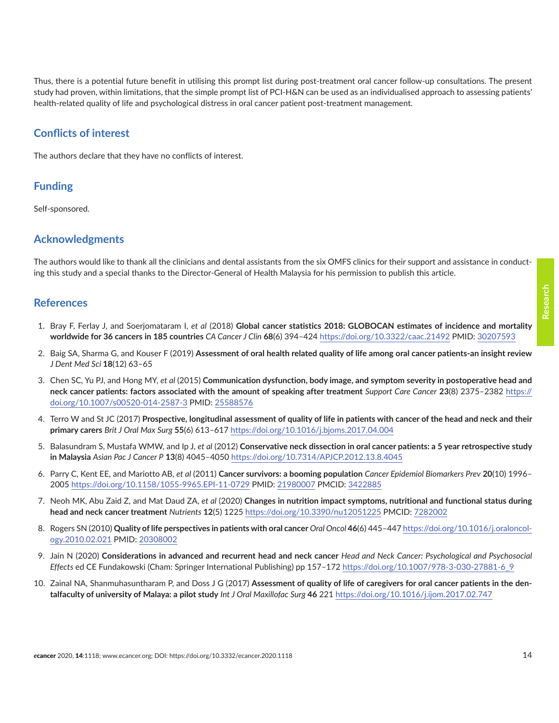<span id="page-13-0"></span>Thus, there is a potential future benefit in utilising this prompt list during post-treatment oral cancer follow-up consultations. The present study had proven, within limitations, that the simple prompt list of PCI-H&N can be used as an individualised approach to assessing patients' health-related quality of life and psychological distress in oral cancer patient post-treatment management.

# **Conflicts of interest**

The authors declare that they have no conflicts of interest.

# **Funding**

Self-sponsored.

# **Acknowledgments**

The authors would like to thank all the clinicians and dental assistants from the six OMFS clinics for their support and assistance in conducting this study and a special thanks to the Director-General of Health Malaysia for his permission to publish this article.

## **References**

- 1. Bray F, Ferlay J, and Soerjomataram I, *et al* (2018) **Global cancer statistics 2018: GLOBOCAN estimates of incidence and mortality worldwide for 36 cancers in 185 countries** *CA Cancer J Clin* **68**(6) 394–424<https://doi.org/10.3322/caac.21492> PMID: [30207593](http://www.ncbi.nlm.nih.gov/pubmed/30207593)
- 2. Baig SA, Sharma G, and Kouser F (2019) **Assessment of oral health related quality of life among oral cancer patients-an insight review** *J Dent Med Sci* **18**(12) 63–65
- 3. Chen SC, Yu PJ, and Hong MY, *et al* (2015) **Communication dysfunction, body image, and symptom severity in postoperative head and neck cancer patients: factors associated with the amount of speaking after treatment** *Support Care Cancer* **23**(8) 2375–2382 [https://](https://doi.org/10.1007/s00520-014-2587-3) [doi.org/10.1007/s00520-014-2587-3](https://doi.org/10.1007/s00520-014-2587-3) PMID: [25588576](http://www.ncbi.nlm.nih.gov/pubmed/25588576)
- 4. Terro W and St JC (2017) **Prospective, longitudinal assessment of quality of life in patients with cancer of the head and neck and their primary carers** *Brit J Oral Max Surg* **55**(6) 613–617 <https://doi.org/10.1016/j.bjoms.2017.04.004>
- 5. Balasundram S, Mustafa WMW, and Ip J, *et al* (2012) **Conservative neck dissection in oral cancer patients: a 5 year retrospective study in Malaysia** *Asian Pac J Cancer P* **13**(8) 4045–4050<https://doi.org/10.7314/APJCP.2012.13.8.4045>
- 6. Parry C, Kent EE, and Mariotto AB, *et al* (2011) **Cancer survivors: a booming population** *Cancer Epidemiol Biomarkers Prev* **20**(10) 1996– 2005<https://doi.org/10.1158/1055-9965.EPI-11-0729>PMID: [21980007](http://www.ncbi.nlm.nih.gov/pubmed/21980007) PMCID: [3422885](http://www.ncbi.nlm.nih.gov/pmc/articles/PMC3422885)
- 7. Neoh MK, Abu Zaid Z, and Mat Daud ZA, *et al* (2020) **Changes in nutrition impact symptoms, nutritional and functional status during head and neck cancer treatment** *Nutrients* **12**(5) 1225 <https://doi.org/10.3390/nu12051225>PMCID: [7282002](http://www.ncbi.nlm.nih.gov/pmc/articles/PMC7282002)
- 8. Rogers SN (2010) **Quality of life perspectives in patients with oral cancer** *Oral Oncol* **46**(6) 445–447 [https://doi.org/10.1016/j.oraloncol](https://doi.org/10.1016/j.oraloncology.2010.02.021)[ogy.2010.02.021](https://doi.org/10.1016/j.oraloncology.2010.02.021) PMID: [20308002](http://www.ncbi.nlm.nih.gov/pubmed/20308002)
- 9. Jain N (2020) **Considerations in advanced and recurrent head and neck cancer** *Head and Neck Cancer: Psychological and Psychosocial Effects* ed CE Fundakowski (Cham: Springer International Publishing) pp 157–172 [https://doi.org/10.1007/978-3-030-27881-6\\_9](https://doi.org/10.1007/978-3-030-27881-6_9)
- 10. Zainal NA, Shanmuhasuntharam P, and Doss J G (2017) **Assessment of quality of life of caregivers for oral cancer patients in the dentalfaculty of university of Malaya: a pilot study** *Int J Oral Maxillofac Surg* **46** 221 <https://doi.org/10.1016/j.ijom.2017.02.747>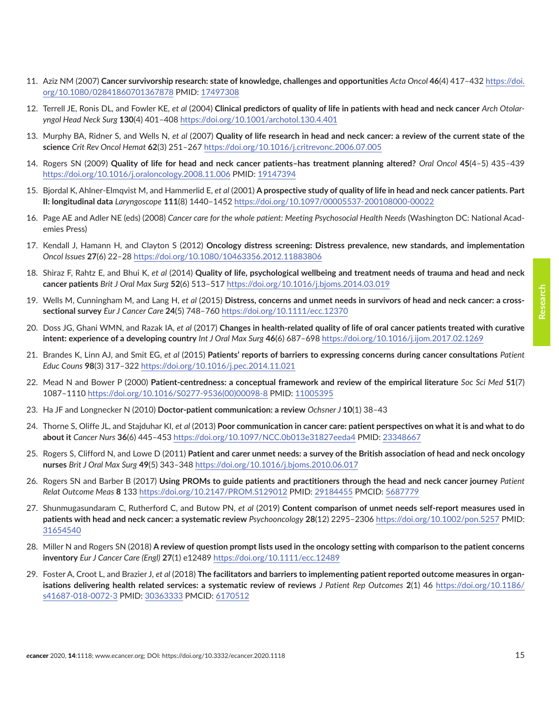- <span id="page-14-0"></span>11. Aziz NM (2007) **Cancer survivorship research: state of knowledge, challenges and opportunities** *Acta Oncol* **46**(4) 417–432 [https://doi.](https://doi.org/10.1080/02841860701367878) [org/10.1080/02841860701367878](https://doi.org/10.1080/02841860701367878) PMID: [17497308](http://www.ncbi.nlm.nih.gov/pubmed/17497308)
- 12. Terrell JE, Ronis DL, and Fowler KE, *et al* (2004) **Clinical predictors of quality of life in patients with head and neck cancer** *Arch Otolaryngol Head Neck Surg* **130**(4) 401–408 <https://doi.org/10.1001/archotol.130.4.401>
- 13. Murphy BA, Ridner S, and Wells N, *et al* (2007) **Quality of life research in head and neck cancer: a review of the current state of the science** *Crit Rev Oncol Hemat* **62**(3) 251–267 <https://doi.org/10.1016/j.critrevonc.2006.07.005>
- 14. Rogers SN (2009) **Quality of life for head and neck cancer patients–has treatment planning altered?** *Oral Oncol* **45**(4–5) 435–439 <https://doi.org/10.1016/j.oraloncology.2008.11.006> PMID: [19147394](http://www.ncbi.nlm.nih.gov/pubmed/19147394)
- 15. Bjordal K, Ahlner-Elmqvist M, and Hammerlid E, *et al* (2001) **A prospective study of quality of life in head and neck cancer patients. Part II: longitudinal data** *Laryngoscope* **111**(8) 1440–1452 <https://doi.org/10.1097/00005537-200108000-00022>
- 16. Page AE and Adler NE (eds) (2008) *Cancer care for the whole patient: Meeting Psychosocial Health Needs* (Washington DC: National Academies Press)
- 17. Kendall J, Hamann H, and Clayton S (2012) **Oncology distress screening: Distress prevalence, new standards, and implementation** *Oncol Issues* **27**(6) 22–28 <https://doi.org/10.1080/10463356.2012.11883806>
- 18. Shiraz F, Rahtz E, and Bhui K, *et al* (2014) **Quality of life, psychological wellbeing and treatment needs of trauma and head and neck cancer patients** *Brit J Oral Max Surg* **52**(6) 513–517 <https://doi.org/10.1016/j.bjoms.2014.03.019>
- 19. Wells M, Cunningham M, and Lang H, *et al* (2015) **Distress, concerns and unmet needs in survivors of head and neck cancer: a crosssectional survey** *Eur J Cancer Care* **24**(5) 748–760 <https://doi.org/10.1111/ecc.12370>
- 20. Doss JG, Ghani WMN, and Razak IA, *et al* (2017) **Changes in health-related quality of life of oral cancer patients treated with curative intent: experience of a developing country** *Int J Oral Max Surg* **46**(6) 687–698 <https://doi.org/10.1016/j.ijom.2017.02.1269>
- 21. Brandes K, Linn AJ, and Smit EG, *et al* (2015) **Patients' reports of barriers to expressing concerns during cancer consultations** *Patient Educ Couns* **98**(3) 317–322 <https://doi.org/10.1016/j.pec.2014.11.021>
- 22. Mead N and Bower P (2000) **Patient-centredness: a conceptual framework and review of the empirical literature** *Soc Sci Med* **51**(7) 1087–1110 [https://doi.org/10.1016/S0277-9536\(00\)00098-8](https://doi.org/10.1016/S0277-9536(00)00098-8) PMID: [11005395](http://www.ncbi.nlm.nih.gov/pubmed/11005395)
- 23. Ha JF and Longnecker N (2010) **Doctor-patient communication: a review** *Ochsner J* **10**(1) 38–43
- 24. Thorne S, Oliffe JL, and Stajduhar KI, *et al* (2013) **Poor communication in cancer care: patient perspectives on what it is and what to do about it** *Cancer Nurs* **36**(6) 445–453<https://doi.org/10.1097/NCC.0b013e31827eeda4> PMID: [23348667](http://www.ncbi.nlm.nih.gov/pubmed/23348667)
- 25. Rogers S, Clifford N, and Lowe D (2011) **Patient and carer unmet needs: a survey of the British association of head and neck oncology nurses** *Brit J Oral Max Surg* **49**(5) 343–348<https://doi.org/10.1016/j.bjoms.2010.06.017>
- 26. Rogers SN and Barber B (2017) **Using PROMs to guide patients and practitioners through the head and neck cancer journey** *Patient Relat Outcome Meas* **8** 133 <https://doi.org/10.2147/PROM.S129012>PMID: [29184455](http://www.ncbi.nlm.nih.gov/pubmed/29184455) PMCID: [5687779](http://www.ncbi.nlm.nih.gov/pmc/articles/PMC5687779)
- 27. Shunmugasundaram C, Rutherford C, and Butow PN, *et al* (2019) **Content comparison of unmet needs self-report measures used in patients with head and neck cancer: a systematic review** *Psychooncology* **28**(12) 2295–2306<https://doi.org/10.1002/pon.5257> PMID: [31654540](http://www.ncbi.nlm.nih.gov/pubmed/31654540)
- 28. Miller N and Rogers SN (2018) **A review of question prompt lists used in the oncology setting with comparison to the patient concerns inventory** *Eur J Cancer Care (Engl)* **27**(1) e12489 <https://doi.org/10.1111/ecc.12489>
- 29. Foster A, Croot L, and Brazier J, *et al* (2018) **The facilitators and barriers to implementing patient reported outcome measures in organisations delivering health related services: a systematic review of reviews** *J Patient Rep Outcomes* **2**(1) 46 [https://doi.org/10.1186/](https://doi.org/10.1186/s41687-018-0072-3) [s41687-018-0072-3](https://doi.org/10.1186/s41687-018-0072-3) PMID: [30363333](http://www.ncbi.nlm.nih.gov/pubmed/30363333) PMCID: [6170512](http://www.ncbi.nlm.nih.gov/pmc/articles/PMC6170512)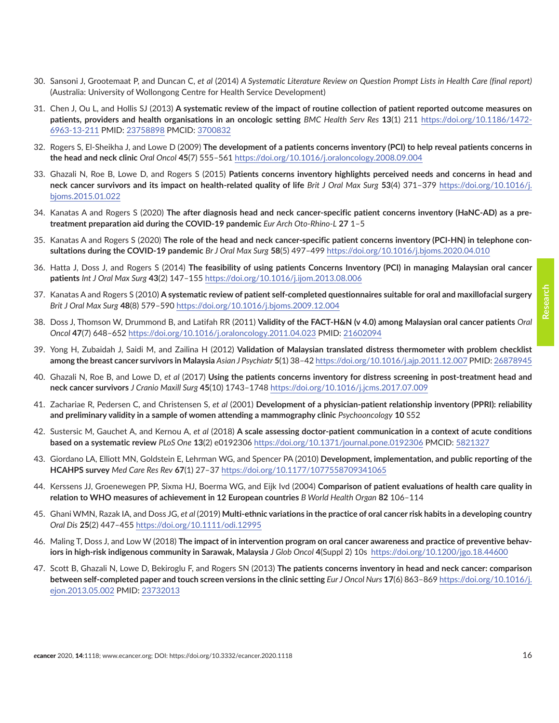- <span id="page-15-0"></span>30. Sansoni J, Grootemaat P, and Duncan C, *et al* (2014) *A Systematic Literature Review on Question Prompt Lists in Health Care (final report)* (Australia: University of Wollongong Centre for Health Service Development)
- 31. Chen J, Ou L, and Hollis SJ (2013) **A systematic review of the impact of routine collection of patient reported outcome measures on patients, providers and health organisations in an oncologic setting** *BMC Health Serv Res* **13**(1) 211 [https://doi.org/10.1186/1472-](https://doi.org/10.1186/1472-6963-13-211) [6963-13-211](https://doi.org/10.1186/1472-6963-13-211) PMID: [23758898](http://www.ncbi.nlm.nih.gov/pubmed/23758898) PMCID: [3700832](http://www.ncbi.nlm.nih.gov/pmc/articles/PMC3700832)
- 32. Rogers S, El-Sheikha J, and Lowe D (2009) **The development of a patients concerns inventory (PCI) to help reveal patients concerns in the head and neck clinic** *Oral Oncol* **45**(7) 555–561<https://doi.org/10.1016/j.oraloncology.2008.09.004>
- 33. Ghazali N, Roe B, Lowe D, and Rogers S (2015) **Patients concerns inventory highlights perceived needs and concerns in head and neck cancer survivors and its impact on health-related quality of life** *Brit J Oral Max Surg* **53**(4) 371–379 [https://doi.org/10.1016/j.](https://doi.org/10.1016/j.bjoms.2015.01.022) [bjoms.2015.01.022](https://doi.org/10.1016/j.bjoms.2015.01.022)
- 34. Kanatas A and Rogers S (2020) **The after diagnosis head and neck cancer-specific patient concerns inventory (HaNC-AD) as a pretreatment preparation aid during the COVID-19 pandemic** *Eur Arch Oto-Rhino-L* **27** 1–5
- 35. Kanatas A and Rogers S (2020) **The role of the head and neck cancer-specific patient concerns inventory (PCI-HN) in telephone consultations during the COVID-19 pandemic** *Br J Oral Max Surg* **58**(5) 497–499<https://doi.org/10.1016/j.bjoms.2020.04.010>
- 36. Hatta J, Doss J, and Rogers S (2014) **The feasibility of using patients Concerns Inventory (PCI) in managing Malaysian oral cancer patients** *Int J Oral Max Surg* **43**(2) 147–155 <https://doi.org/10.1016/j.ijom.2013.08.006>
- 37. Kanatas A and Rogers S (2010) **A systematic review of patient self-completed questionnaires suitable for oral and maxillofacial surgery** *Brit J Oral Max Surg* **48**(8) 579–590 <https://doi.org/10.1016/j.bjoms.2009.12.004>
- 38. Doss J, Thomson W, Drummond B, and Latifah RR (2011) **Validity of the FACT-H&N (v 4.0) among Malaysian oral cancer patients** *Oral Oncol* **47**(7) 648–652 <https://doi.org/10.1016/j.oraloncology.2011.04.023> PMID: [21602094](http://www.ncbi.nlm.nih.gov/pubmed/21602094)
- 39. Yong H, Zubaidah J, Saidi M, and Zailina H (2012) **Validation of Malaysian translated distress thermometer with problem checklist among the breast cancer survivors in Malaysia** *Asian J Psychiatr* **5**(1) 38–42<https://doi.org/10.1016/j.ajp.2011.12.007> PMID: [26878945](http://www.ncbi.nlm.nih.gov/pubmed/26878945)
- 40. Ghazali N, Roe B, and Lowe D, *et al* (2017) **Using the patients concerns inventory for distress screening in post-treatment head and neck cancer survivors** *J Cranio Maxill Surg* **45**(10) 1743–1748<https://doi.org/10.1016/j.jcms.2017.07.009>
- 41. Zachariae R, Pedersen C, and Christensen S, *et al* (2001) **Development of a physician-patient relationship inventory (PPRI): reliability and preliminary validity in a sample of women attending a mammography clinic** *Psychooncology* **10** S52
- 42. Sustersic M, Gauchet A, and Kernou A, *et al* (2018) **A scale assessing doctor-patient communication in a context of acute conditions based on a systematic review** *PLoS One* **13**(2) e0192306 <https://doi.org/10.1371/journal.pone.0192306>PMCID: [5821327](http://www.ncbi.nlm.nih.gov/pmc/articles/PMC5821327)
- 43. Giordano LA, Elliott MN, Goldstein E, Lehrman WG, and Spencer PA (2010) **Development, implementation, and public reporting of the HCAHPS survey** *Med Care Res Rev* **67**(1) 27–37 <https://doi.org/10.1177/1077558709341065>
- 44. Kerssens JJ, Groenewegen PP, Sixma HJ, Boerma WG, and Eijk Ivd (2004) **Comparison of patient evaluations of health care quality in relation to WHO measures of achievement in 12 European countries** *B World Health Organ* **82** 106–114
- 45. Ghani WMN, Razak IA, and Doss JG, *et al* (2019) **Multi-ethnic variations in the practice of oral cancer risk habits in a developing country** *Oral Dis* **25**(2) 447–455<https://doi.org/10.1111/odi.12995>
- 46. Maling T, Doss J, and Low W (2018) **The impact of in intervention program on oral cancer awareness and practice of preventive behaviors in high-risk indigenous community in Sarawak, Malaysia** *J Glob Oncol* **4**(Suppl 2) 10s<https://doi.org/10.1200/jgo.18.44600>
- 47. Scott B, Ghazali N, Lowe D, Bekiroglu F, and Rogers SN (2013) **The patients concerns inventory in head and neck cancer: comparison between self-completed paper and touch screen versions in the clinic setting** *Eur J Oncol Nurs* **17**(6) 863–869 [https://doi.org/10.1016/j.](https://doi.org/10.1016/j.ejon.2013.05.002) [ejon.2013.05.002](https://doi.org/10.1016/j.ejon.2013.05.002) PMID: [23732013](http://www.ncbi.nlm.nih.gov/pubmed/23732013)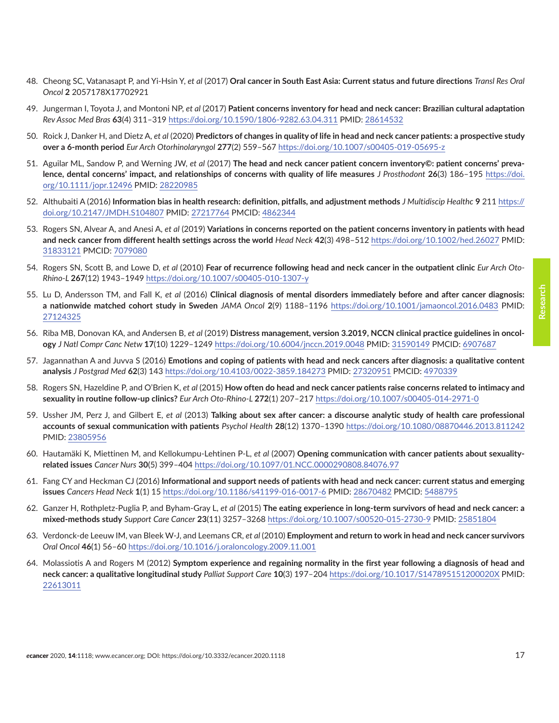- <span id="page-16-0"></span>48. Cheong SC, Vatanasapt P, and Yi-Hsin Y, *et al* (2017) **Oral cancer in South East Asia: Current status and future directions** *Transl Res Oral Oncol* **2** 2057178X17702921
- 49. Jungerman I, Toyota J, and Montoni NP, *et al* (2017) **Patient concerns inventory for head and neck cancer: Brazilian cultural adaptation** *Rev Assoc Med Bras* **63**(4) 311–319 <https://doi.org/10.1590/1806-9282.63.04.311> PMID: [28614532](http://www.ncbi.nlm.nih.gov/pubmed/28614532)
- 50. Roick J, Danker H, and Dietz A, *et al* (2020) **Predictors of changes in quality of life in head and neck cancer patients: a prospective study over a 6-month period** *Eur Arch Otorhinolaryngol* **277**(2) 559–567<https://doi.org/10.1007/s00405-019-05695-z>
- 51. Aguilar ML, Sandow P, and Werning JW, *et al* (2017) **The head and neck cancer patient concern inventory©: patient concerns' prevalence, dental concerns' impact, and relationships of concerns with quality of life measures** *J Prosthodont* **26**(3) 186–195 [https://doi.](https://doi.org/10.1111/jopr.12496) [org/10.1111/jopr.12496](https://doi.org/10.1111/jopr.12496) PMID: [28220985](http://www.ncbi.nlm.nih.gov/pubmed/28220985)
- 52. Althubaiti A (2016) **Information bias in health research: definition, pitfalls, and adjustment methods** *J Multidiscip Healthc* **9** 211 [https://](https://doi.org/10.2147/JMDH.S104807) [doi.org/10.2147/JMDH.S104807](https://doi.org/10.2147/JMDH.S104807) PMID: [27217764](http://www.ncbi.nlm.nih.gov/pubmed/27217764) PMCID: [4862344](http://www.ncbi.nlm.nih.gov/pmc/articles/PMC4862344)
- 53. Rogers SN, Alvear A, and Anesi A, *et al* (2019) **Variations in concerns reported on the patient concerns inventory in patients with head and neck cancer from different health settings across the world** *Head Neck* **42**(3) 498–512 <https://doi.org/10.1002/hed.26027> PMID: [31833121](http://www.ncbi.nlm.nih.gov/pubmed/31833121) PMCID: [7079080](http://www.ncbi.nlm.nih.gov/pmc/articles/PMC7079080)
- 54. Rogers SN, Scott B, and Lowe D, *et al* (2010) **Fear of recurrence following head and neck cancer in the outpatient clinic** *Eur Arch Oto-Rhino-L* **267**(12) 1943–1949<https://doi.org/10.1007/s00405-010-1307-y>
- 55. Lu D, Andersson TM, and Fall K, *et al* (2016) **Clinical diagnosis of mental disorders immediately before and after cancer diagnosis: a nationwide matched cohort study in Sweden** *JAMA Oncol* **2**(9) 1188–1196 <https://doi.org/10.1001/jamaoncol.2016.0483>PMID: [27124325](http://www.ncbi.nlm.nih.gov/pubmed/27124325)
- 56. Riba MB, Donovan KA, and Andersen B, *et al* (2019) **Distress management, version 3.2019, NCCN clinical practice guidelines in oncology** *J Natl Compr Canc Netw* **17**(10) 1229–1249<https://doi.org/10.6004/jnccn.2019.0048> PMID: [31590149](http://www.ncbi.nlm.nih.gov/pubmed/31590149) PMCID: [6907687](http://www.ncbi.nlm.nih.gov/pmc/articles/PMC6907687)
- 57. Jagannathan A and Juvva S (2016) **Emotions and coping of patients with head and neck cancers after diagnosis: a qualitative content analysis** *J Postgrad Med* **62**(3) 143 <https://doi.org/10.4103/0022-3859.184273>PMID: [27320951](http://www.ncbi.nlm.nih.gov/pubmed/27320951) PMCID: [4970339](http://www.ncbi.nlm.nih.gov/pmc/articles/PMC4970339)
- 58. Rogers SN, Hazeldine P, and O'Brien K, *et al* (2015) **How often do head and neck cancer patients raise concerns related to intimacy and sexuality in routine follow-up clinics?** *Eur Arch Oto-Rhino-L* **272**(1) 207–217 <https://doi.org/10.1007/s00405-014-2971-0>
- 59. Ussher JM, Perz J, and Gilbert E, *et al* (2013) **Talking about sex after cancer: a discourse analytic study of health care professional accounts of sexual communication with patients** *Psychol Health* **28**(12) 1370–1390<https://doi.org/10.1080/08870446.2013.811242> PMID: [23805956](http://www.ncbi.nlm.nih.gov/pubmed/23805956)
- 60. Hautamäki K, Miettinen M, and Kellokumpu-Lehtinen P-L, *et al* (2007) **Opening communication with cancer patients about sexualityrelated issues** *Cancer Nurs* **30**(5) 399–404<https://doi.org/10.1097/01.NCC.0000290808.84076.97>
- 61. Fang CY and Heckman CJ (2016) **Informational and support needs of patients with head and neck cancer: current status and emerging issues** *Cancers Head Neck* **1**(1) 15 <https://doi.org/10.1186/s41199-016-0017-6> PMID: [28670482](http://www.ncbi.nlm.nih.gov/pubmed/28670482) PMCID: [5488795](http://www.ncbi.nlm.nih.gov/pmc/articles/PMC5488795)
- 62. Ganzer H, Rothpletz-Puglia P, and Byham-Gray L, *et al* (2015) **The eating experience in long-term survivors of head and neck cancer: a mixed-methods study** *Support Care Cancer* **23**(11) 3257–3268<https://doi.org/10.1007/s00520-015-2730-9> PMID: [25851804](http://www.ncbi.nlm.nih.gov/pubmed/25851804)
- 63. Verdonck-de Leeuw IM, van Bleek W-J, and Leemans CR, *et al* (2010) **Employment and return to work in head and neck cancer survivors** *Oral Oncol* **46**(1) 56–60 <https://doi.org/10.1016/j.oraloncology.2009.11.001>
- 64. Molassiotis A and Rogers M (2012) **Symptom experience and regaining normality in the first year following a diagnosis of head and neck cancer: a qualitative longitudinal study** *Palliat Support Care* **10**(3) 197–204<https://doi.org/10.1017/S147895151200020X> PMID: [22613011](http://www.ncbi.nlm.nih.gov/pubmed/22613011)